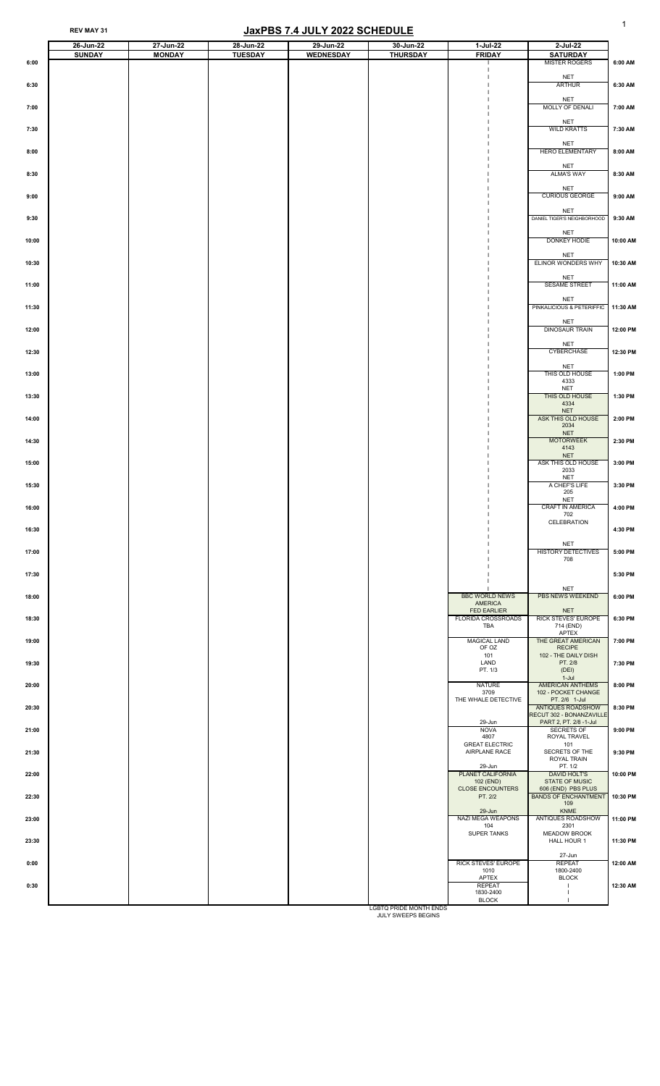|                | 26-Jun-22     | 27-Jun-22     | 28-Jun-22      | 29-Jun-22        | 30-Jun-22       | 1-Jul-22                                                   | 2-Jul-22                                                              |                    |
|----------------|---------------|---------------|----------------|------------------|-----------------|------------------------------------------------------------|-----------------------------------------------------------------------|--------------------|
| 6:00           | <b>SUNDAY</b> | <b>MONDAY</b> | <b>TUESDAY</b> | <b>WEDNESDAY</b> | <b>THURSDAY</b> | <b>FRIDAY</b>                                              | <b>SATURDAY</b><br><b>MISTER ROGERS</b>                               | 6:00 AM            |
|                |               |               |                |                  |                 |                                                            | <b>NET</b>                                                            |                    |
| 6:30           |               |               |                |                  |                 |                                                            | ARTHUR<br><b>NET</b>                                                  | 6:30 AM            |
| 7:00           |               |               |                |                  |                 |                                                            | MOLLY OF DENALI<br><b>NET</b>                                         | 7:00 AM            |
| 7:30           |               |               |                |                  |                 |                                                            | <b>WILD KRATTS</b><br><b>NET</b>                                      | 7:30 AM            |
| 8:00           |               |               |                |                  |                 |                                                            | <b>HERO ELEMENTARY</b><br><b>NET</b>                                  | 8:00 AM            |
| 8:30           |               |               |                |                  |                 |                                                            | <b>ALMA'S WAY</b><br><b>NET</b>                                       | 8:30 AM            |
| 9:00           |               |               |                |                  |                 |                                                            | <b>CURIOUS GEORGE</b><br><b>NET</b>                                   | 9:00 AM            |
| 9:30           |               |               |                |                  |                 |                                                            | DANIEL TIGER'S NEIGHBORHOOD<br><b>NET</b>                             | 9:30 AM            |
| 10:00          |               |               |                |                  |                 |                                                            | DONKEY HODIE<br><b>NET</b>                                            | 10:00 AM           |
| 10:30          |               |               |                |                  |                 |                                                            | ELINOR WONDERS WHY<br><b>NET</b>                                      | 10:30 AM           |
| 11:00          |               |               |                |                  |                 |                                                            | <b>SESAME STREET</b><br><b>NET</b>                                    | 11:00 AM           |
| 11:30          |               |               |                |                  |                 |                                                            | PINKALICIOUS & PETERIFFIC<br><b>NET</b>                               | $11:30$ AM         |
| 12:00          |               |               |                |                  |                 |                                                            | <b>DINOSAUR TRAIN</b><br><b>NET</b>                                   | 12:00 PM           |
| 12:30          |               |               |                |                  |                 |                                                            | <b>CYBERCHASE</b><br><b>NET</b>                                       | 12:30 PM           |
| 13:00          |               |               |                |                  |                 |                                                            | THIS OLD HOUSE<br>4333<br><b>NET</b>                                  | 1:00 PM            |
| 13:30          |               |               |                |                  |                 |                                                            | THIS OLD HOUSE<br>4334<br><b>NET</b>                                  | 1:30 PM            |
| 14:00<br>14:30 |               |               |                |                  |                 |                                                            | ASK THIS OLD HOUSE<br>2034<br><b>NET</b><br><b>MOTORWEEK</b>          | 2:00 PM<br>2:30 PM |
| 15:00          |               |               |                |                  |                 |                                                            | 4143<br><b>NET</b><br>ASK THIS OLD HOUSE                              | 3:00 PM            |
| 15:30          |               |               |                |                  |                 |                                                            | 2033<br><b>NET</b><br>A CHEF'S LIFE                                   | 3:30 PM            |
| 16:00          |               |               |                |                  |                 |                                                            | 205<br><b>NET</b><br><b>CRAFT IN AMERICA</b>                          | 4:00 PM            |
| 16:30          |               |               |                |                  |                 |                                                            | 702<br>CELEBRATION                                                    | 4:30 PM            |
| 17:00          |               |               |                |                  |                 |                                                            | <b>NET</b><br>HISTORY DETECTIVES                                      | 5:00 PM            |
| 17:30          |               |               |                |                  |                 |                                                            | 708                                                                   | 5:30 PM            |
| 18:00          |               |               |                |                  |                 | <b>BBC WORLD NEWS</b>                                      | <b>NET</b><br>PBS NEWS WEEKEND                                        | 6:00 PM            |
| 18:30          |               |               |                |                  |                 | <b>AMERICA</b><br><b>FED EARLIER</b><br>FLORIDA CROSSROADS | <b>NET</b><br><b>RICK STEVES' EUROPE</b>                              | 6:30 PM            |
| 19:00          |               |               |                |                  |                 | <b>TBA</b><br><b>MAGICAL LAND</b>                          | 714 (END)<br><b>APTEX</b><br>THE GREAT AMERICAN                       | 7:00 PM            |
| 19:30          |               |               |                |                  |                 | OF OZ<br>101<br>LAND                                       | <b>RECIPE</b><br>102 - THE DAILY DISH<br>PT. 2/8                      | 7:30 PM            |
| 20:00          |               |               |                |                  |                 | PT. 1/3<br><b>NATURE</b><br>3709                           | (DEI)<br>$1-Jul$<br><b>AMERICAN ANTHEMS</b><br>102 - POCKET CHANGE    | 8:00 PM            |
| 20:30          |               |               |                |                  |                 | THE WHALE DETECTIVE                                        | PT. 2/6 1-Jul<br><b>ANTIQUES ROADSHOW</b><br>RECUT 302 - BONANZAVILLE | 8:30 PM            |
| 21:00          |               |               |                |                  |                 | 29-Jun<br><b>NOVA</b><br>4807                              | PART 2, PT. 2/8 -1-Jul<br><b>SECRETS OF</b><br>ROYAL TRAVEL           | 9:00 PM            |
| 21:30          |               |               |                |                  |                 | <b>GREAT ELECTRIC</b><br><b>AIRPLANE RACE</b>              | 101<br>SECRETS OF THE<br>ROYAL TRAIN                                  | 9:30 PM            |
| 22:00          |               |               |                |                  |                 | 29-Jun<br>PLANET CALIFORNIA<br>102 (END)                   | PT. 1/2<br><b>DAVID HOLT'S</b><br><b>STATE OF MUSIC</b>               | 10:00 PM           |
| 22:30          |               |               |                |                  |                 | <b>CLOSE ENCOUNTERS</b><br>PT. 2/2                         | 606 (END) PBS PLUS<br><b>BANDS OF ENCHANTMENT</b><br>109              | 10:30 PM           |
| 23:00          |               |               |                |                  |                 | 29-Jun<br><b>NAZI MEGA WEAPONS</b><br>104                  | <b>KNME</b><br>ANTIQUES ROADSHOW<br>2301                              | 11:00 PM           |
| 23:30          |               |               |                |                  |                 | <b>SUPER TANKS</b>                                         | <b>MEADOW BROOK</b><br><b>HALL HOUR 1</b>                             | 11:30 PM           |
| 0:00           |               |               |                |                  |                 | <b>RICK STEVES' EUROPE</b><br>1010                         | 27-Jun<br><b>REPEAT</b><br>1800-2400                                  | 12:00 AM           |
| 0:30           |               |               |                |                  |                 | <b>APTEX</b><br><b>REPEAT</b><br>1830-2400                 | <b>BLOCK</b>                                                          | 12:30 AM           |
|                |               |               |                |                  |                 | <b>BLOCK</b>                                               |                                                                       |                    |

LGBTQ PRIDE MONTH ENDS JULY SWEEPS BEGINS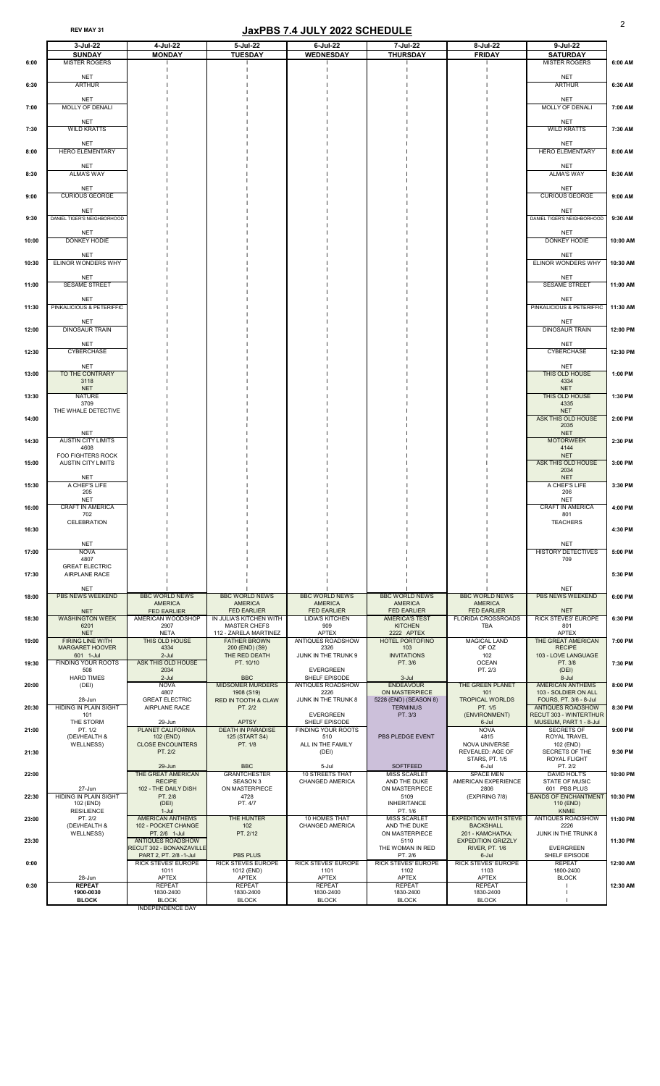|       | 3-Jul-22                                                        | 4-Jul-22                                                       | 5-Jul-22                                                             | $6$ -Jul-22                                               | 7-Jul-22                                                      | 8-Jul-22                                                        | $9$ -Jul-22                                                                  |          |
|-------|-----------------------------------------------------------------|----------------------------------------------------------------|----------------------------------------------------------------------|-----------------------------------------------------------|---------------------------------------------------------------|-----------------------------------------------------------------|------------------------------------------------------------------------------|----------|
| 6:00  | <b>SUNDAY</b><br><b>MISTER ROGERS</b>                           | <b>MONDAY</b>                                                  | <b>TUESDAY</b>                                                       | <b>WEDNESDAY</b>                                          | <b>THURSDAY</b>                                               | <b>FRIDAY</b>                                                   | <b>SATURDAY</b><br><b>MISTER ROGERS</b>                                      | 6:00 AM  |
| 6:30  | <b>NET</b><br><b>ARTHUR</b>                                     |                                                                |                                                                      |                                                           |                                                               |                                                                 | <b>NET</b><br><b>ARTHUR</b>                                                  | 6:30 AM  |
| 7:00  | <b>NET</b><br><b>MOLLY OF DENALI</b>                            |                                                                |                                                                      |                                                           |                                                               |                                                                 | <b>NET</b><br><b>MOLLY OF DENALI</b>                                         | 7:00 AM  |
| 7:30  | <b>NET</b><br><b>WILD KRATTS</b>                                |                                                                |                                                                      |                                                           |                                                               |                                                                 | <b>NET</b><br><b>WILD KRATTS</b>                                             | 7:30 AM  |
|       | <b>NET</b><br><b>HERO ELEMENTARY</b>                            |                                                                |                                                                      |                                                           |                                                               |                                                                 | <b>NET</b><br><b>HERO ELEMENTARY</b>                                         | 8:00 AM  |
| 8:00  | <b>NET</b>                                                      |                                                                |                                                                      |                                                           |                                                               |                                                                 | <b>NET</b>                                                                   |          |
| 8:30  | <b>ALMA'S WAY</b><br><b>NET</b>                                 |                                                                |                                                                      |                                                           |                                                               |                                                                 | <b>ALMA'S WAY</b><br><b>NET</b>                                              | 8:30 AM  |
| 9:00  | <b>CURIOUS GEORGE</b><br><b>NET</b>                             |                                                                |                                                                      |                                                           |                                                               |                                                                 | <b>CURIOUS GEORGE</b><br><b>NET</b>                                          | 9:00 AM  |
| 9:30  | DANIEL TIGER'S NEIGHBORHOOD<br><b>NET</b>                       |                                                                |                                                                      |                                                           |                                                               |                                                                 | DANIEL TIGER'S NEIGHBORHOOD<br><b>NET</b>                                    | 9:30 AM  |
| 10:00 | DONKEY HODIE<br><b>NET</b>                                      |                                                                |                                                                      |                                                           |                                                               |                                                                 | DONKEY HODIE<br><b>NET</b>                                                   | 10:00 AM |
| 10:30 | ELINOR WONDERS WHY<br><b>NET</b>                                |                                                                |                                                                      |                                                           |                                                               |                                                                 | <b>ELINOR WONDERS WHY</b><br><b>NET</b>                                      | 10:30 AM |
| 11:00 | <b>SESAME STREET</b><br><b>NET</b>                              |                                                                |                                                                      |                                                           |                                                               |                                                                 | <b>SESAME STREET</b><br><b>NET</b>                                           | 11:00 AM |
| 11:30 | PINKALICIOUS & PETERIFFIC<br><b>NET</b>                         |                                                                |                                                                      |                                                           |                                                               |                                                                 | PINKALICIOUS & PETERIFFIC<br><b>NET</b>                                      | 11:30 AM |
| 12:00 | <b>DINOSAUR TRAIN</b><br><b>NET</b>                             |                                                                |                                                                      |                                                           |                                                               |                                                                 | <b>DINOSAUR TRAIN</b><br><b>NET</b>                                          | 12:00 PM |
| 12:30 | <b>CYBERCHASE</b><br><b>NET</b>                                 |                                                                |                                                                      |                                                           |                                                               |                                                                 | <b>CYBERCHASE</b><br><b>NET</b>                                              | 12:30 PM |
| 13:00 | TO THE CONTRARY<br>3118<br><b>NET</b>                           |                                                                |                                                                      |                                                           |                                                               |                                                                 | THIS OLD HOUSE<br>4334<br><b>NET</b>                                         | 1:00 PM  |
| 13:30 | <b>NATURE</b><br>3709<br>THE WHALE DETECTIVE                    |                                                                |                                                                      |                                                           |                                                               |                                                                 | THIS OLD HOUSE<br>4335<br><b>NET</b>                                         | 1:30 PM  |
| 14:00 |                                                                 |                                                                |                                                                      |                                                           |                                                               |                                                                 | ASK THIS OLD HOUSE<br>2035                                                   | 2:00 PM  |
| 14:30 | <b>NET</b><br><b>AUSTIN CITY LIMITS</b><br>4608                 |                                                                |                                                                      |                                                           |                                                               |                                                                 | <b>NET</b><br><b>MOTORWEEK</b><br>4144                                       | 2:30 PM  |
| 15:00 | <b>FOO FIGHTERS ROCK</b><br><b>AUSTIN CITY LIMITS</b>           |                                                                |                                                                      |                                                           |                                                               |                                                                 | <b>NET</b><br><b>ASK THIS OLD HOUSE</b><br>2034                              | 3:00 PM  |
| 15:30 | <b>NET</b><br>A CHEF'S LIFE<br>205                              |                                                                |                                                                      |                                                           |                                                               |                                                                 | <b>NET</b><br>A CHEF'S LIFE<br>206                                           | 3:30 PM  |
| 16:00 | <b>NET</b><br><b>CRAFT IN AMERICA</b><br>702                    |                                                                |                                                                      |                                                           |                                                               |                                                                 | <b>NET</b><br><b>CRAFT IN AMERICA</b><br>801                                 | 4:00 PM  |
| 16:30 | <b>CELEBRATION</b>                                              |                                                                |                                                                      |                                                           |                                                               |                                                                 | <b>TEACHERS</b>                                                              | 4:30 PM  |
| 17:00 | <b>NET</b><br><b>NOVA</b><br>4807                               |                                                                |                                                                      |                                                           |                                                               |                                                                 | <b>NET</b><br>HISTORY DETECTIVES<br>709                                      | 5:00 PM  |
| 17:30 | <b>GREAT ELECTRIC</b><br><b>AIRPLANE RACE</b>                   |                                                                |                                                                      |                                                           |                                                               |                                                                 |                                                                              | 5:30 PM  |
| 18:00 | <b>NET</b><br><b>PBS NEWS WEEKEND</b>                           | <b>BBC WORLD NEWS</b><br><b>AMERICA</b>                        | <b>BBC WORLD NEWS</b><br><b>AMERICA</b>                              | <b>BBC WORLD NEWS</b><br><b>AMERICA</b>                   | <b>BBC WORLD NEWS</b><br><b>AMERICA</b>                       | <b>BBC WORLD NEWS</b><br><b>AMERICA</b>                         | <b>NET</b><br><b>PBS NEWS WEEKEND</b>                                        | 6:00 PM  |
| 18:30 | <b>NET</b><br><b>WASHINGTON WEEK</b><br>6201                    | <b>FED EARLIER</b><br>AMERICAN WOODSHOP<br>2907                | <b>FED EARLIER</b><br>IN JULIA'S KITCHEN WITH<br><b>MASTER CHEFS</b> | <b>FED EARLIER</b><br><b>LIDIA'S KITCHEN</b><br>909       | <b>FED EARLIER</b><br><b>AMERICA'S TEST</b><br><b>KITCHEN</b> | <b>FED EARLIER</b><br><b>FLORIDA CROSSROADS</b><br><b>TBA</b>   | <b>NET</b><br><b>RICK STEVES' EUROPE</b><br>801                              | 6:30 PM  |
| 19:00 | <b>NET</b><br><b>FIRING LINE WITH</b><br><b>MARGARET HOOVER</b> | <b>NETA</b><br>THIS OLD HOUSE<br>4334                          | 112 - ZARELA MARTINEZ<br><b>FATHER BROWN</b><br>200 (END) (S9)       | <b>APTEX</b><br><b>ANTIQUES ROADSHOW</b><br>2326          | 2222 APTEX<br><b>HOTEL PORTOFINO</b><br>103                   | <b>MAGICAL LAND</b><br>OF OZ                                    | <b>APTEX</b><br><b>THE GREAT AMERICAN</b><br><b>RECIPE</b>                   | 7:00 PM  |
| 19:30 | 601 1-Jul<br><b>FINDING YOUR ROOTS</b><br>508                   | $2$ -Jul<br>ASK THIS OLD HOUSE<br>2034                         | THE RED DEATH<br>PT. 10/10                                           | JUNK IN THE TRUNK 9<br><b>EVERGREEN</b>                   | <b>INVITATIONS</b><br>PT. 3/6                                 | 102<br><b>OCEAN</b><br>PT. 2/3                                  | 103 - LOVE LANGUAGE<br>PT. 3/8<br>(DEI)                                      | 7:30 PM  |
| 20:00 | <b>HARD TIMES</b><br>(DEI)                                      | $2$ -Jul<br><b>NOVA</b><br>4807                                | <b>BBC</b><br><b>MIDSOMER MURDERS</b><br>1908 (S19)                  | SHELF EPISODE<br><b>ANTIQUES ROADSHOW</b><br>2226         | $3 -$ Jul<br><b>ENDEAVOUR</b><br>ON MASTERPIECE               | THE GREEN PLANET<br>101                                         | 8-Jul<br><b>AMERICAN ANTHEMS</b><br>103 - SOLDIER ON ALL                     | 8:00 PM  |
| 20:30 | 28-Jun<br><b>HIDING IN PLAIN SIGHT</b><br>101                   | <b>GREAT ELECTRIC</b><br><b>AIRPLANE RACE</b>                  | <b>RED IN TOOTH &amp; CLAW</b><br>PT. 2/2                            | JUNK IN THE TRUNK 8<br><b>EVERGREEN</b>                   | 5228 (END) (SEASON 8)<br><b>TERMINUS</b><br>PT. 3/3           | <b>TROPICAL WORLDS</b><br>PT. 1/5<br>(ENVIRONMENT)              | FOURS, PT. 3/6 - 8-Jul<br><b>ANTIQUES ROADSHOW</b><br>RECUT 303 - WINTERTHUR | 8:30 PM  |
| 21:00 | THE STORM<br>PT. 1/2<br>(DEI/HEALTH &                           | 29-Jun<br>PLANET CALIFORNIA<br>102 (END)                       | <b>APTSY</b><br><b>DEATH IN PARADISE</b><br>125 (START S4)           | SHELF EPISODE<br><b>FINDING YOUR ROOTS</b><br>510         | PBS PLEDGE EVENT                                              | 6-Jul<br><b>NOVA</b><br>4815                                    | MUSEUM, PART 1 - 8-Jul<br><b>SECRETS OF</b><br>ROYAL TRAVEL                  | 9:00 PM  |
| 21:30 | <b>WELLNESS)</b>                                                | <b>CLOSE ENCOUNTERS</b><br>PT. 2/2                             | PT. 1/8                                                              | ALL IN THE FAMILY<br>(DEI)                                |                                                               | NOVA UNIVERSE<br><b>REVEALED: AGE OF</b><br>STARS, PT. 1/5      | 102 (END)<br><b>SECRETS OF THE</b><br><b>ROYAL FLIGHT</b>                    | 9:30 PM  |
| 22:00 |                                                                 | $29 - Jun$<br>THE GREAT AMERICAN<br><b>RECIPE</b>              | <b>BBC</b><br><b>GRANTCHESTER</b><br><b>SEASON 3</b>                 | 5-Jul<br><b>10 STREETS THAT</b><br><b>CHANGED AMERICA</b> | <b>SOFTFEED</b><br><b>MISS SCARLET</b><br>AND THE DUKE        | 6-Jul<br><b>SPACE MEN</b><br>AMERICAN EXPERIENCE                | PT. 2/2<br><b>DAVID HOLT'S</b><br><b>STATE OF MUSIC</b>                      | 10:00 PM |
| 22:30 | 27-Jun<br><b>HIDING IN PLAIN SIGHT</b><br>102 (END)             | 102 - THE DAILY DISH<br>PT. 2/8<br>(DEI)                       | ON MASTERPIECE<br>4728<br>PT. 4/7                                    |                                                           | ON MASTERPIECE<br>5109<br><b>INHERITANCE</b>                  | 2806<br>(EXPIRING 7/8)                                          | 601 PBS PLUS<br><b>BANDS OF ENCHANTMENT</b><br>110 (END)                     | 10:30 PM |
| 23:00 | <b>RESILIENCE</b><br>PT. 2/2<br>(DEI/HEALTH &                   | $1-Jul$<br><b>AMERICAN ANTHEMS</b><br>102 - POCKET CHANGE      | THE HUNTER<br>102                                                    | <b>10 HOMES THAT</b><br><b>CHANGED AMERICA</b>            | PT. 1/6<br><b>MISS SCARLET</b><br>AND THE DUKE                | <b>EXPEDITION WITH STEVE</b><br><b>BACKSHALL</b>                | <b>KNME</b><br><b>ANTIQUES ROADSHOW</b><br>2226                              | 11:00 PM |
| 23:30 | <b>WELLNESS)</b>                                                | PT. 2/6 1-Jul<br>ANTIQUES ROADSHOW<br>RECUT 302 - BONANZAVILLE | PT. 2/12                                                             |                                                           | ON MASTERPIECE<br>5110<br>THE WOMAN IN RED                    | 201 - KAMCHATKA:<br><b>EXPEDITION GRIZZLY</b><br>RIVER, PT. 1/6 | JUNK IN THE TRUNK 8<br><b>EVERGREEN</b>                                      | 11:30 PM |
| 0:00  |                                                                 | PART 2, PT. 2/8 -1-Jul<br><b>RICK STEVES' EUROPE</b>           | <b>PBS PLUS</b><br><b>RICK STEVES EUROPE</b>                         | <b>RICK STEVES' EUROPE</b>                                | PT. 2/6<br><b>RICK STEVES' EUROPE</b>                         | 6-Jul<br>RICK STEVES' EUROPE                                    | SHELF EPISODE<br><b>REPEAT</b>                                               | 12:00 AM |
|       | 28-Jun                                                          | 1011<br><b>APTEX</b>                                           | 1012 (END)<br><b>APTEX</b>                                           | 1101<br><b>APTEX</b>                                      | 1102<br><b>APTEX</b>                                          | 1103<br><b>APTEX</b>                                            | 1800-2400<br><b>BLOCK</b>                                                    |          |
| 0:30  | <b>REPEAT</b><br>1900-0030                                      | <b>REPEAT</b><br>1830-2400                                     | <b>REPEAT</b><br>1830-2400                                           | <b>REPEAT</b><br>1830-2400                                | <b>REPEAT</b><br>1830-2400                                    | <b>REPEAT</b><br>1830-2400                                      |                                                                              | 12:30 AM |
|       | <b>BLOCK</b>                                                    | <b>BLOCK</b>                                                   | <b>BLOCK</b>                                                         | <b>BLOCK</b>                                              | <b>BLOCK</b>                                                  | <b>BLOCK</b>                                                    |                                                                              |          |

INDEPENDENCE DAY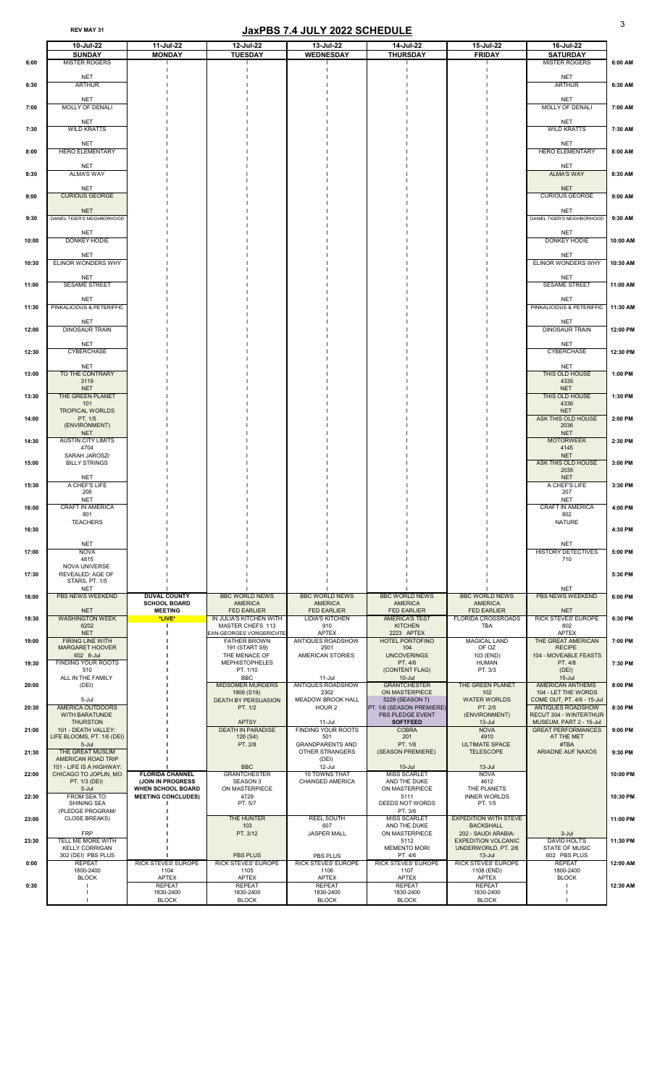|       | 10-Jul-22                                         | 11-Jul-22                                     | 12-Jul-22                                              | 13-Jul-22                                         | 14-Jul-22                                     | 15-Jul-22                                         | 16-Jul-22                                                |          |
|-------|---------------------------------------------------|-----------------------------------------------|--------------------------------------------------------|---------------------------------------------------|-----------------------------------------------|---------------------------------------------------|----------------------------------------------------------|----------|
| 6:00  | <b>SUNDAY</b><br><b>MISTER ROGERS</b>             | <b>MONDAY</b>                                 | <b>TUESDAY</b>                                         | <b>WEDNESDAY</b>                                  | <b>THURSDAY</b>                               | <b>FRIDAY</b>                                     | <b>SATURDAY</b><br><b>MISTER ROGERS</b>                  | 6:00 AM  |
|       |                                                   |                                               |                                                        |                                                   |                                               |                                                   |                                                          |          |
| 6:30  | <b>NET</b><br><b>ARTHUR</b>                       |                                               |                                                        |                                                   |                                               |                                                   | <b>NET</b><br><b>ARTHUR</b>                              | 6:30 AM  |
|       |                                                   |                                               |                                                        |                                                   |                                               |                                                   |                                                          |          |
| 7:00  | <b>NET</b><br>MOLLY OF DENALI                     |                                               |                                                        |                                                   |                                               |                                                   | <b>NET</b><br>MOLLY OF DENALI                            | 7:00 AM  |
|       | <b>NET</b>                                        |                                               |                                                        |                                                   |                                               |                                                   | <b>NET</b>                                               |          |
| 7:30  | <b>WILD KRATTS</b>                                |                                               |                                                        |                                                   |                                               |                                                   | <b>WILD KRATTS</b>                                       | 7:30 AM  |
|       | <b>NET</b>                                        |                                               |                                                        |                                                   |                                               |                                                   | <b>NET</b>                                               |          |
| 8:00  | <b>HERO ELEMENTARY</b>                            |                                               |                                                        |                                                   |                                               |                                                   | <b>HERO ELEMENTARY</b>                                   | 8:00 AM  |
|       | <b>NET</b>                                        |                                               |                                                        |                                                   |                                               |                                                   | <b>NET</b>                                               |          |
| 8:30  | <b>ALMA'S WAY</b>                                 |                                               |                                                        |                                                   |                                               |                                                   | <b>ALMA'S WAY</b>                                        | 8:30 AM  |
|       | <b>NET</b><br><b>CURIOUS GEORGE</b>               |                                               |                                                        |                                                   |                                               |                                                   | <b>NET</b><br><b>CURIOUS GEORGE</b>                      | 9:00 AM  |
| 9:00  |                                                   |                                               |                                                        |                                                   |                                               |                                                   |                                                          |          |
| 9:30  | <b>NET</b><br>DANIEL TIGER'S NEIGHBORHOOD         |                                               |                                                        |                                                   |                                               |                                                   | <b>NET</b><br>DANIEL TIGER'S NEIGHBORHOOD                | 9:30 AM  |
|       | <b>NET</b>                                        |                                               |                                                        |                                                   |                                               |                                                   | <b>NET</b>                                               |          |
| 10:00 | DONKEY HODIE                                      |                                               |                                                        |                                                   |                                               |                                                   | DONKEY HODIE                                             | 10:00 AM |
|       | <b>NET</b>                                        |                                               |                                                        |                                                   |                                               |                                                   | <b>NET</b>                                               |          |
| 10:30 | ELINOR WONDERS WHY                                |                                               |                                                        |                                                   |                                               |                                                   | ELINOR WONDERS WHY                                       | 10:30 AM |
|       | <b>NET</b>                                        |                                               |                                                        |                                                   |                                               |                                                   | <b>NET</b>                                               |          |
| 11:00 | <b>SESAME STREET</b>                              |                                               |                                                        |                                                   |                                               |                                                   | <b>SESAME STREET</b>                                     | 11:00 AM |
| 11:30 | <b>NET</b><br>PINKALICIOUS & PETERIFFIC           |                                               |                                                        |                                                   |                                               |                                                   | <b>NET</b><br>PINKALICIOUS & PETERIFFIC                  | 11:30 AM |
|       |                                                   |                                               |                                                        |                                                   |                                               |                                                   |                                                          |          |
| 12:00 | <b>NET</b><br><b>DINOSAUR TRAIN</b>               |                                               |                                                        |                                                   |                                               |                                                   | <b>NET</b><br><b>DINOSAUR TRAIN</b>                      | 12:00 PM |
|       | <b>NET</b>                                        |                                               |                                                        |                                                   |                                               |                                                   | <b>NET</b>                                               |          |
| 12:30 | <b>CYBERCHASE</b>                                 |                                               |                                                        |                                                   |                                               |                                                   | <b>CYBERCHASE</b>                                        | 12:30 PM |
|       | <b>NET</b>                                        |                                               |                                                        |                                                   |                                               |                                                   | <b>NET</b>                                               |          |
| 13:00 | TO THE CONTRARY<br>3119                           |                                               |                                                        |                                                   |                                               |                                                   | THIS OLD HOUSE<br>4335                                   | 1:00 PM  |
|       | <b>NET</b>                                        |                                               |                                                        |                                                   |                                               |                                                   | <b>NET</b>                                               |          |
| 13:30 | THE GREEN PLANET<br>101                           |                                               |                                                        |                                                   |                                               |                                                   | THIS OLD HOUSE<br>4336                                   | 1:30 PM  |
| 14:00 | <b>TROPICAL WORLDS</b><br>PT. 1/5                 |                                               |                                                        |                                                   |                                               |                                                   | <b>NET</b><br>ASK THIS OLD HOUSE                         | 2:00 PM  |
|       | (ENVIRONMENT)                                     |                                               |                                                        |                                                   |                                               |                                                   | 2036                                                     |          |
| 14:30 | <b>NET</b><br><b>AUSTIN CITY LIMITS</b>           |                                               |                                                        |                                                   |                                               |                                                   | <b>NET</b><br><b>MOTORWEEK</b>                           | 2:30 PM  |
|       | 4704<br>SARAH JAROSZ/                             |                                               |                                                        |                                                   |                                               |                                                   | 4145<br><b>NET</b>                                       |          |
| 15:00 | <b>BILLY STRINGS</b>                              |                                               |                                                        |                                                   |                                               |                                                   | ASK THIS OLD HOUSE                                       | 3:00 PM  |
|       | <b>NET</b>                                        |                                               |                                                        |                                                   |                                               |                                                   | 2035<br><b>NET</b>                                       |          |
| 15:30 | A CHEF'S LIFE<br>206                              |                                               |                                                        |                                                   |                                               |                                                   | A CHEF'S LIFE<br>207                                     | 3:30 PM  |
|       | <b>NET</b>                                        |                                               |                                                        |                                                   |                                               |                                                   | <b>NET</b>                                               |          |
| 16:00 | <b>CRAFT IN AMERICA</b><br>801                    |                                               |                                                        |                                                   |                                               |                                                   | <b>CRAFT IN AMERICA</b><br>802                           | 4:00 PM  |
|       | <b>TEACHERS</b>                                   |                                               |                                                        |                                                   |                                               |                                                   | <b>NATURE</b>                                            |          |
| 16:30 |                                                   |                                               |                                                        |                                                   |                                               |                                                   |                                                          | 4:30 PM  |
| 17:00 | <b>NET</b><br><b>NOVA</b>                         |                                               |                                                        |                                                   |                                               |                                                   | <b>NET</b><br><b>HISTORY DETECTIVES</b>                  | 5:00 PM  |
|       | 4815<br>NOVA UNIVERSE                             |                                               |                                                        |                                                   |                                               |                                                   | 710                                                      |          |
| 17:30 | <b>REVEALED: AGE OF</b>                           |                                               |                                                        |                                                   |                                               |                                                   |                                                          | 5:30 PM  |
|       | STARS, PT. 1/5<br><b>NET</b>                      |                                               |                                                        |                                                   |                                               |                                                   | <b>NET</b>                                               |          |
| 18:00 | <b>PBS NEWS WEEKEND</b>                           | <b>DUVAL COUNTY</b><br><b>SCHOOL BOARD</b>    | <b>BBC WORLD NEWS</b><br><b>AMERICA</b>                | <b>BBC WORLD NEWS</b><br><b>AMERICA</b>           | <b>BBC WORLD NEWS</b><br><b>AMERICA</b>       | <b>BBC WORLD NEWS</b><br><b>AMERICA</b>           | <b>PBS NEWS WEEKEND</b>                                  | 6:00 PM  |
|       | <b>NET</b>                                        | <b>MEETING</b>                                | <b>FED EARLIER</b>                                     | <b>FED EARLIER</b>                                | <b>FED EARLIER</b>                            | <b>FED EARLIER</b>                                | <b>NET</b>                                               |          |
| 18:30 | <b>WASHINGTON WEEK</b><br>6202                    | *LIVE*                                        | IN JULIA'S KITCHEN WITH<br>MASTER CHEFS 113            | <b>LIDIA'S KITCHEN</b><br>910                     | <b>AMERICA'S TEST</b><br><b>KITCHEN</b>       | <b>FLORIDA CROSSROADS</b><br><b>TBA</b>           | <b>RICK STEVES' EUROPE</b><br>802                        | 6:30 PM  |
| 19:00 | <b>NET</b><br><b>FIRING LINE WITH</b>             |                                               | <b>EAN-GEORGES VONGERICHTEI</b><br><b>FATHER BROWN</b> | <b>APTEX</b><br><b>ANTIQUES ROADSHOW</b>          | 2223 APTEX<br><b>HOTEL PORTOFINO</b>          | <b>MAGICAL LAND</b>                               | <b>APTEX</b><br>THE GREAT AMERICAN                       | 7:00 PM  |
|       | <b>MARGARET HOOVER</b>                            |                                               | 191 (START S9)                                         | 2501                                              | 104                                           | OF OZ                                             | <b>RECIPE</b>                                            |          |
| 19:30 | 602 8-Jul<br><b>FINDING YOUR ROOTS</b>            |                                               | THE MENACE OF<br><b>MEPHISTOPHELES</b>                 | <b>AMERICAN STORIES</b>                           | <b>UNCOVERINGS</b><br>PT. 4/6                 | 103 (END)<br><b>HUMAN</b>                         | 104 - MOVEABLE FEASTS<br>PT. 4/8                         | 7:30 PM  |
|       | 510<br>ALL IN THE FAMILY                          |                                               | PT. 1/10<br><b>BBC</b>                                 | 11-Jul                                            | (CONTENT FLAG)<br>$10 -$ Jul                  | PT. 3/3                                           | (DEI)<br>$15 -$ Jul                                      |          |
| 20:00 | (DEI)                                             |                                               | <b>MIDSOMER MURDERS</b>                                | <b>ANTIQUES ROADSHOW</b>                          | <b>GRANTCHESTER</b>                           | THE GREEN PLANET                                  | <b>AMERICAN ANTHEMS</b>                                  | 8:00 PM  |
|       | 5-Jul                                             |                                               | 1909 (S19)<br><b>DEATH BY PERSUASION</b>               | 2302<br><b>MEADOW BROOK HALL</b>                  | ON MASTERPIECE<br>5229 (SEASON 7)             | 102<br><b>WATER WORLDS</b>                        | 104 - LET THE WORDS<br><b>COME OUT, PT. 4/6 - 15-Jul</b> |          |
| 20:30 | <b>AMERICA OUTDOORS</b><br><b>WITH BARATUNDE</b>  |                                               | PT. 1/2                                                | HOUR <sub>2</sub>                                 | PT. 1/6 (SEASON PREMIERE)<br>PBS PLEDGE EVENT | PT. 2/5<br>(ENVIRONMENT)                          | <b>ANTIQUES ROADSHOW</b><br>RECUT 304 - WINTERTHUR       | 8:30 PM  |
|       | <b>THURSTON</b>                                   |                                               | <b>APTSY</b>                                           | $11 -$ Jul                                        | <b>SOFTFEED</b>                               | $13 -$ Jul                                        | MUSEUM, PART 2 - 15-Jul                                  |          |
| 21:00 | 101 - DEATH VALLEY:<br>LIFE BLOOMS, PT. 1/6 (DEI) |                                               | <b>DEATH IN PARADISE</b><br>$126($ S4 $)$              | <b>FINDING YOUR ROOTS</b><br>501                  | <b>COBRA</b><br>201                           | <b>NOVA</b><br>4910                               | <b>GREAT PERFORMANCES</b><br>AT THE MET                  | 9:00 PM  |
|       | $5 -$ Jul<br>THE GREAT MUSLIM                     |                                               | PT. 2/8                                                | <b>GRANDPARENTS AND</b><br><b>OTHER STRANGERS</b> | PT. 1/6                                       | <b>ULTIMATE SPACE</b><br><b>TELESCOPE</b>         | #TBA                                                     | 9:30 PM  |
| 21:30 | AMERICAN ROAD TRIP                                |                                               |                                                        | (DEI)                                             | (SEASON PREMIERE)                             |                                                   | <b>ARIADNE AUF NAXOS</b>                                 |          |
| 22:00 | 101 - LIFE IS A HIGHWAY:<br>CHICAGO TO JOPLIN, MO | <b>FLORIDA CHANNEL</b>                        | <b>BBC</b><br><b>GRANTCHESTER</b>                      | 12-Jul<br>10 TOWNS THAT                           | $10 -$ Jul<br><b>MISS SCARLET</b>             | $13 -$ Jul<br><b>NOVA</b>                         |                                                          | 10:00 PM |
|       | PT. 1/3 (DEI)<br>5-Jul                            | (JOIN IN PROGRESS<br><b>WHEN SCHOOL BOARD</b> | <b>SEASON 3</b><br>ON MASTERPIECE                      | <b>CHANGED AMERICA</b>                            | AND THE DUKE<br>ON MASTERPIECE                | 4612<br>THE PLANETS                               |                                                          |          |
| 22:30 | FROM SEA TO                                       | <b>MEETING CONCLUDES)</b>                     | 4729                                                   |                                                   | 5111                                          | <b>INNER WORLDS</b>                               |                                                          | 10:30 PM |
|       | SHINING SEA<br>(PLEDGE PROGRAM/                   |                                               | PT. 5/7                                                |                                                   | DEEDS NOT WORDS<br>PT. 3/6                    | PT. 1/5                                           |                                                          |          |
| 23:00 | <b>CLOSE BREAKS)</b>                              |                                               | THE HUNTER<br>103                                      | <b>REEL SOUTH</b><br>607                          | <b>MISS SCARLET</b><br>AND THE DUKE           | <b>EXPEDITION WITH STEVE</b><br><b>BACKSHALL</b>  |                                                          | 11:00 PM |
|       | <b>FRP</b>                                        |                                               | PT. 3/12                                               | <b>JASPER MALL</b>                                | ON MASTERPIECE                                | 202 - SAUDI ARABIA:                               | $3 -$ Jul                                                |          |
| 23:30 | TELL ME MORE WITH<br><b>KELLY CORRIGAN</b>        |                                               |                                                        |                                                   | 5112<br><b>MEMENTO MORI</b>                   | <b>EXPEDITION VOLCANIC</b><br>UNDERWORLD, PT. 2/6 | <b>DAVID HOLT'S</b><br><b>STATE OF MUSIC</b>             | 11:30 PM |
| 0:00  | 302 (DEI) PBS PLUS<br><b>REPEAT</b>               | <b>RICK STEVES' EUROPE</b>                    | <b>PBS PLUS</b><br><b>RICK STEVES' EUROPE</b>          | PBS PLUS<br><b>RICK STEVES' EUROPE</b>            | PT. 4/6<br><b>RICK STEVES' EUROPE</b>         | $13 -$ Jul<br><b>RICK STEVES' EUROPE</b>          | 602 PBS PLUS<br><b>REPEAT</b>                            | 12:00 AM |
|       | 1800-2400                                         | 1104                                          | 1105                                                   | 1106                                              | 1107                                          | 1108 (END)                                        | 1800-2400                                                |          |
| 0:30  | <b>BLOCK</b>                                      | <b>APTEX</b><br><b>REPEAT</b>                 | <b>APTEX</b><br><b>REPEAT</b>                          | <b>APTEX</b><br><b>REPEAT</b>                     | <b>APTEX</b><br><b>REPEAT</b>                 | <b>APTEX</b><br><b>REPEAT</b>                     | <b>BLOCK</b>                                             | 12:30 AM |
|       |                                                   | 1830-2400<br><b>BLOCK</b>                     | 1830-2400<br><b>BLOCK</b>                              | 1830-2400<br><b>BLOCK</b>                         | 1830-2400<br><b>BLOCK</b>                     | 1830-2400<br><b>BLOCK</b>                         |                                                          |          |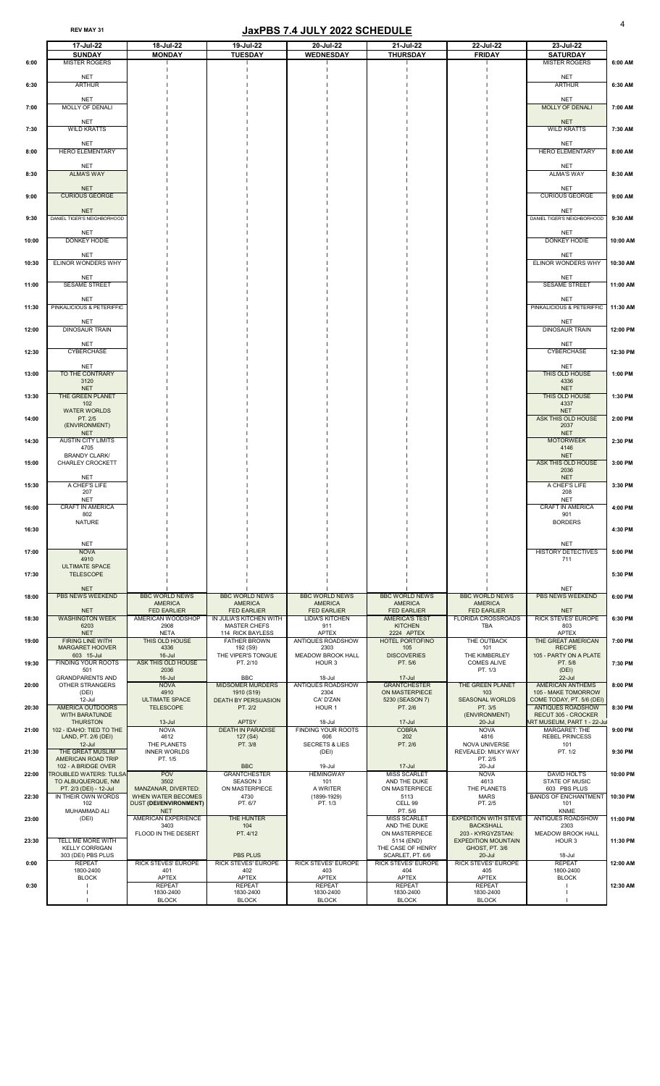#### REV MAY 31 **ICLUST 2022 SCHEDULE**

|                | 17-Jul-22                                                                                           | 18-Jul-22                                                              | 19-Jul-22                                                           | 20-Jul-22                                                     | 21-Jul-22                                                           | 22-Jul-22                                                           | 23-Jul-22                                                                                              |                      |
|----------------|-----------------------------------------------------------------------------------------------------|------------------------------------------------------------------------|---------------------------------------------------------------------|---------------------------------------------------------------|---------------------------------------------------------------------|---------------------------------------------------------------------|--------------------------------------------------------------------------------------------------------|----------------------|
| 6:00           | <b>SUNDAY</b><br><b>MISTER ROGERS</b>                                                               | <b>MONDAY</b>                                                          | <b>TUESDAY</b>                                                      | <b>WEDNESDAY</b>                                              | <b>THURSDAY</b>                                                     | <b>FRIDAY</b>                                                       | <b>SATURDAY</b><br><b>MISTER ROGERS</b>                                                                | 6:00 AM              |
| 6:30           | <b>NET</b><br><b>ARTHUR</b>                                                                         |                                                                        |                                                                     |                                                               |                                                                     |                                                                     | <b>NET</b><br><b>ARTHUR</b>                                                                            | 6:30 AM              |
| 7:00           | <b>NET</b><br><b>MOLLY OF DENALI</b>                                                                |                                                                        |                                                                     |                                                               |                                                                     |                                                                     | <b>NET</b><br><b>MOLLY OF DENALI</b>                                                                   | 7:00 AM              |
| 7:30           | <b>NET</b><br><b>WILD KRATTS</b>                                                                    |                                                                        |                                                                     |                                                               |                                                                     |                                                                     | <b>NET</b><br><b>WILD KRATTS</b>                                                                       | 7:30 AM              |
| 8:00           | <b>NET</b><br><b>HERO ELEMENTARY</b>                                                                |                                                                        |                                                                     |                                                               |                                                                     |                                                                     | <b>NET</b><br><b>HERO ELEMENTARY</b>                                                                   | 8:00 AM              |
| 8:30           | <b>NET</b><br><b>ALMA'S WAY</b>                                                                     |                                                                        |                                                                     |                                                               |                                                                     |                                                                     | <b>NET</b><br><b>ALMA'S WAY</b>                                                                        | 8:30 AM              |
| 9:00           | <b>NET</b><br><b>CURIOUS GEORGE</b>                                                                 |                                                                        |                                                                     |                                                               |                                                                     |                                                                     | <b>NET</b><br><b>CURIOUS GEORGE</b>                                                                    | 9:00 AM              |
| 9:30           | <b>NET</b><br>DANIEL TIGER'S NEIGHBORHOOD                                                           |                                                                        |                                                                     |                                                               |                                                                     |                                                                     | <b>NET</b><br>DANIEL TIGER'S NEIGHBORHOOD                                                              | 9:30 AM              |
| 10:00          | <b>NET</b><br>DONKEY HODIE                                                                          |                                                                        |                                                                     |                                                               |                                                                     |                                                                     | <b>NET</b><br><b>DONKEY HODIE</b>                                                                      | 10:00 AM             |
| 10:30          | <b>NET</b><br>ELINOR WONDERS WHY                                                                    |                                                                        |                                                                     |                                                               |                                                                     |                                                                     | <b>NET</b><br>ELINOR WONDERS WHY                                                                       | 10:30 AM             |
| 11:00          | <b>NET</b><br><b>SESAME STREET</b>                                                                  |                                                                        |                                                                     |                                                               |                                                                     |                                                                     | <b>NET</b><br><b>SESAME STREET</b>                                                                     | 11:00 AM             |
| 11:30          | <b>NET</b><br>PINKALICIOUS & PETERIFFIC                                                             |                                                                        |                                                                     |                                                               |                                                                     |                                                                     | <b>NET</b><br>PINKALICIOUS & PETERIFFIC                                                                | 11:30 AM             |
| 12:00          | <b>NET</b><br><b>DINOSAUR TRAIN</b>                                                                 |                                                                        |                                                                     |                                                               |                                                                     |                                                                     | <b>NET</b><br><b>DINOSAUR TRAIN</b>                                                                    | 12:00 PM             |
| 12:30          | <b>NET</b><br><b>CYBERCHASE</b>                                                                     |                                                                        |                                                                     |                                                               |                                                                     |                                                                     | <b>NET</b><br><b>CYBERCHASE</b>                                                                        | 12:30 PM             |
| 13:00          | <b>NET</b><br>TO THE CONTRARY<br>3120<br><b>NET</b>                                                 |                                                                        |                                                                     |                                                               |                                                                     |                                                                     | <b>NET</b><br>THIS OLD HOUSE<br>4336<br><b>NET</b>                                                     | 1:00 PM              |
| 13:30          | THE GREEN PLANET<br>102<br><b>WATER WORLDS</b>                                                      |                                                                        |                                                                     |                                                               |                                                                     |                                                                     | THIS OLD HOUSE<br>4337<br><b>NET</b>                                                                   | 1:30 PM              |
| 14:00          | PT. 2/5<br>(ENVIRONMENT)<br><b>NET</b>                                                              |                                                                        |                                                                     |                                                               |                                                                     |                                                                     | ASK THIS OLD HOUSE<br>2037<br><b>NET</b>                                                               | 2:00 PM              |
| 14:30          | <b>AUSTIN CITY LIMITS</b><br>4705<br><b>BRANDY CLARK/</b>                                           |                                                                        |                                                                     |                                                               |                                                                     |                                                                     | <b>MOTORWEEK</b><br>4146<br><b>NET</b>                                                                 | 2:30 PM              |
| 15:00          | CHARLEY CROCKETT<br><b>NET</b>                                                                      |                                                                        |                                                                     |                                                               |                                                                     |                                                                     | ASK THIS OLD HOUSE<br>2036<br><b>NET</b>                                                               | 3:00 PM              |
| 15:30          | A CHEF'S LIFE<br>207<br><b>NET</b>                                                                  |                                                                        |                                                                     |                                                               |                                                                     |                                                                     | A CHEF'S LIFE<br>208<br><b>NET</b>                                                                     | 3:30 PM              |
| 16:00          | <b>CRAFT IN AMERICA</b><br>802<br><b>NATURE</b>                                                     |                                                                        |                                                                     |                                                               |                                                                     |                                                                     | <b>CRAFT IN AMERICA</b><br>901<br><b>BORDERS</b>                                                       | 4:00 PM              |
| 16:30          | <b>NET</b>                                                                                          |                                                                        |                                                                     |                                                               |                                                                     |                                                                     | <b>NET</b>                                                                                             | 4:30 PM              |
| 17:00          | <b>NOVA</b><br>4910<br><b>ULTIMATE SPACE</b>                                                        |                                                                        |                                                                     |                                                               |                                                                     |                                                                     | HISTORY DETECTIVES<br>711                                                                              | 5:00 PM              |
| 17:30          | <b>TELESCOPE</b><br><b>NET</b>                                                                      |                                                                        |                                                                     |                                                               |                                                                     |                                                                     | <b>NET</b>                                                                                             | 5:30 PM              |
| 18:00          | <b>PBS NEWS WEEKEND</b><br><b>NET</b>                                                               | <b>BBC WORLD NEWS</b><br><b>AMERICA</b><br><b>FED EARLIER</b>          | <b>BBC WORLD NEWS</b><br><b>AMERICA</b><br><b>FED EARLIER</b>       | <b>BBC WORLD NEWS</b><br><b>AMERICA</b><br><b>FED EARLIER</b> | <b>BBC WORLD NEWS</b><br><b>AMERICA</b><br><b>FED EARLIER</b>       | <b>BBC WORLD NEWS</b><br><b>AMERICA</b><br><b>FED EARLIER</b>       | <b>PBS NEWS WEEKEND</b><br><b>NET</b>                                                                  | 6:00 PM              |
| 18:30          | <b>WASHINGTON WEEK</b><br>6203<br><b>NET</b>                                                        | AMERICAN WOODSHOP<br>2908<br><b>NETA</b>                               | IN JULIA'S KITCHEN WITH<br><b>MASTER CHEFS</b><br>114 RICK BAYLESS  | <b>LIDIA'S KITCHEN</b><br>911<br><b>APTEX</b>                 | <b>AMERICA'S TEST</b><br><b>KITCHEN</b><br>2224 APTEX               | <b>FLORIDA CROSSROADS</b><br><b>TBA</b>                             | <b>RICK STEVES' EUROPE</b><br>803<br><b>APTEX</b>                                                      | 6:30 PM              |
| 19:00          | <b>FIRING LINE WITH</b><br><b>MARGARET HOOVER</b><br>603 15-Jul                                     | THIS OLD HOUSE<br>4336<br>$16$ -Jul                                    | <b>FATHER BROWN</b><br>192 (S9)<br>THE VIPER'S TONGUE               | <b>ANTIQUES ROADSHOW</b><br>2303<br><b>MEADOW BROOK HALL</b>  | <b>HOTEL PORTOFINO</b><br>105<br><b>DISCOVERIES</b>                 | THE OUTBACK<br>101<br>THE KIMBERLEY                                 | THE GREAT AMERICAN<br><b>RECIPE</b><br>105 - PARTY ON A PLATE                                          | 7:00 PM              |
| 19:30          | <b>FINDING YOUR ROOTS</b><br>501<br><b>GRANDPARENTS AND</b>                                         | <b>ASK THIS OLD HOUSE</b><br>2036<br>$16$ -Jul                         | PT. 2/10<br><b>BBC</b>                                              | HOUR 3<br>18-Jul                                              | PT. 5/6<br>$17 -$ Jul                                               | <b>COMES ALIVE</b><br>PT. 1/3                                       | PT. 5/8<br>(DEI)<br>$22$ -Jul                                                                          | 7:30 PM              |
| 20:00          | <b>OTHER STRANGERS</b><br>(DEI)<br>12-Jul                                                           | <b>NOVA</b><br>4910<br><b>ULTIMATE SPACE</b>                           | <b>MIDSOMER MURDERS</b><br>1910 (S19)<br><b>DEATH BY PERSUASION</b> | ANTIQUES ROADSHOW<br>2304<br>CA' D'ZAN                        | <b>GRANTCHESTER</b><br>ON MASTERPIECE<br>5230 (SEASON 7)            | THE GREEN PLANET<br>103<br><b>SEASONAL WORLDS</b>                   | <b>AMERICAN ANTHEMS</b><br>105 - MAKE TOMORROW<br>COME TODAY, PT. 5/6 (DEI)                            | 8:00 PM              |
| 20:30          | <b>AMERICA OUTDOORS</b><br><b>WITH BARATUNDE</b><br><b>THURSTON</b><br>102 - IDAHO: TIED TO THE     | <b>TELESCOPE</b><br>$13 -$ Jul<br><b>NOVA</b>                          | PT. 2/2<br><b>APTSY</b><br><b>DEATH IN PARADISE</b>                 | HOUR <sub>1</sub><br>18-Jul<br><b>FINDING YOUR ROOTS</b>      | PT. 2/6<br>$17 -$ Jul<br><b>COBRA</b>                               | PT. 3/5<br>(ENVIRONMENT)<br>$20 -$ Jul<br><b>NOVA</b>               | <b>ANTIQUES ROADSHOW</b><br>RECUT 305 - CROCKER<br>ART MUSEUM, PART 1 - 22-Jul<br><b>MARGARET: THE</b> | 8:30 PM<br>9:00 PM   |
| 21:00          | LAND, PT. 2/6 (DEI)<br>$12$ -Jul<br>THE GREAT MUSLIM                                                | 4612<br>THE PLANETS<br><b>INNER WORLDS</b>                             | 127 (S4)<br>PT. 3/8                                                 | 606<br><b>SECRETS &amp; LIES</b><br>(DEI)                     | 202<br>PT. 2/6                                                      | 4816<br>NOVA UNIVERSE<br>REVEALED: MILKY WAY                        | <b>REBEL PRINCESS</b><br>101<br>PT. 1/2                                                                | 9:30 PM              |
| 21:30          | <b>AMERICAN ROAD TRIP</b><br>102 - A BRIDGE OVER                                                    | PT. 1/5                                                                | <b>BBC</b>                                                          | 19-Jul                                                        | $17 -$ Jul                                                          | PT. 2/5<br>20-Jul                                                   | <b>DAVID HOLT'S</b>                                                                                    |                      |
| 22:00<br>22:30 | <b>TROUBLED WATERS: TULSA</b><br>TO ALBUQUERQUE, NM<br>PT. 2/3 (DEI) - 12-Jul<br>IN THEIR OWN WORDS | <b>POV</b><br>3502<br>MANZANAR, DIVERTED:<br><b>WHEN WATER BECOMES</b> | <b>GRANTCHESTER</b><br><b>SEASON 3</b><br>ON MASTERPIECE<br>4730    | <b>HEMINGWAY</b><br>101<br>A WRITER<br>$(1899 - 1929)$        | <b>MISS SCARLET</b><br>AND THE DUKE<br>ON MASTERPIECE<br>5113       | <b>NOVA</b><br>4613<br>THE PLANETS<br><b>MARS</b>                   | <b>STATE OF MUSIC</b><br>603 PBS PLUS<br><b>BANDS OF ENCHANTMENT</b>                                   | 10:00 PM<br>10:30 PM |
| 23:00          | 102<br>MUHAMMAD ALI<br>(DEI)                                                                        | <b>DUST (DEI/ENVIRONMENT)</b><br><b>NET</b><br>AMERICAN EXPERIENCE     | PT. 6/7<br>THE HUNTER                                               | PT. 1/3                                                       | CELL 99<br>PT. 5/6<br><b>MISS SCARLET</b>                           | PT. 2/5<br><b>EXPEDITION WITH STEVE</b>                             | 101<br><b>KNME</b><br><b>ANTIQUES ROADSHOW</b>                                                         | 11:00 PM             |
| 23:30          | TELL ME MORE WITH                                                                                   | 3403<br>FLOOD IN THE DESERT                                            | 104<br>PT. 4/12                                                     |                                                               | AND THE DUKE<br>ON MASTERPIECE<br>5114 (END)                        | <b>BACKSHALL</b><br>203 - KYRGYZSTAN:<br><b>EXPEDITION MOUNTAIN</b> | 2303<br><b>MEADOW BROOK HALL</b><br>HOUR <sub>3</sub>                                                  | 11:30 PM             |
| 0:00           | <b>KELLY CORRIGAN</b><br>303 (DEI) PBS PLUS<br><b>REPEAT</b>                                        | <b>RICK STEVES' EUROPE</b>                                             | <b>PBS PLUS</b><br><b>RICK STEVES' EUROPE</b>                       | <b>RICK STEVES' EUROPE</b>                                    | THE CASE OF HENRY<br>SCARLET, PT. 6/6<br><b>RICK STEVES' EUROPE</b> | GHOST, PT. 3/6<br>20-Jul<br><b>RICK STEVES' EUROPE</b>              | 18-Jul<br><b>REPEAT</b>                                                                                | 12:00 AM             |
| 0:30           | 1800-2400<br><b>BLOCK</b>                                                                           | 401<br><b>APTEX</b><br><b>REPEAT</b>                                   | 402<br><b>APTEX</b><br><b>REPEAT</b>                                | 403<br><b>APTEX</b><br><b>REPEAT</b>                          | 404<br><b>APTEX</b><br><b>REPEAT</b>                                | 405<br><b>APTEX</b><br><b>REPEAT</b>                                | 1800-2400<br><b>BLOCK</b>                                                                              | 12:30 AM             |
|                |                                                                                                     | 1830-2400<br><b>BLOCK</b>                                              | 1830-2400<br><b>BLOCK</b>                                           | 1830-2400<br><b>BLOCK</b>                                     | 1830-2400<br><b>BLOCK</b>                                           | 1830-2400<br><b>BLOCK</b>                                           |                                                                                                        |                      |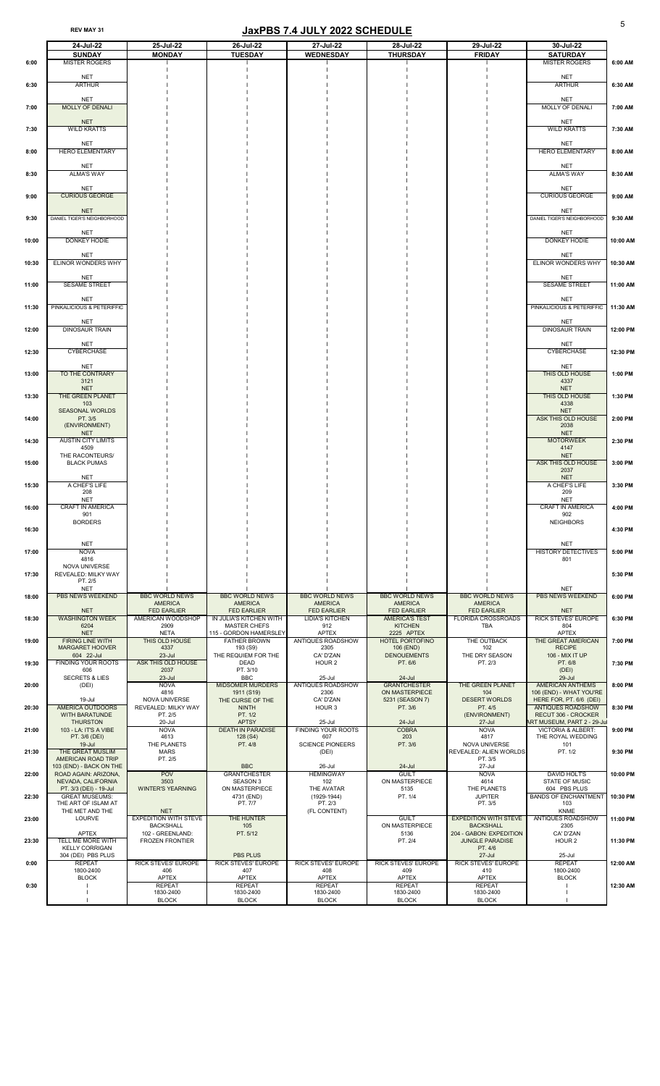|       | 24-Jul-22                                    | 25-Jul-22                                        | 26-Jul-22                                     | 27-Jul-22                                    | 28-Jul-22                                   | 29-Jul-22                                        | 30-Jul-22                                                    |          |
|-------|----------------------------------------------|--------------------------------------------------|-----------------------------------------------|----------------------------------------------|---------------------------------------------|--------------------------------------------------|--------------------------------------------------------------|----------|
|       | <b>SUNDAY</b>                                | <b>MONDAY</b>                                    | <b>TUESDAY</b>                                | <b>WEDNESDAY</b>                             | <b>THURSDAY</b>                             | <b>FRIDAY</b>                                    | <b>SATURDAY</b>                                              |          |
| 6:00  | <b>MISTER ROGERS</b>                         |                                                  |                                               |                                              |                                             |                                                  | <b>MISTER ROGERS</b>                                         | 6:00 AM  |
|       | <b>NET</b>                                   |                                                  |                                               |                                              |                                             |                                                  | <b>NET</b>                                                   |          |
| 6:30  | <b>ARTHUR</b>                                |                                                  |                                               |                                              |                                             |                                                  | <b>ARTHUR</b>                                                | 6:30 AM  |
|       | <b>NET</b>                                   |                                                  |                                               |                                              |                                             |                                                  | <b>NET</b>                                                   |          |
| 7:00  | <b>MOLLY OF DENALI</b>                       |                                                  |                                               |                                              |                                             |                                                  | MOLLY OF DENALI                                              | 7:00 AM  |
|       | <b>NET</b>                                   |                                                  |                                               |                                              |                                             |                                                  | <b>NET</b>                                                   |          |
| 7:30  | <b>WILD KRATTS</b>                           |                                                  |                                               |                                              |                                             |                                                  | <b>WILD KRATTS</b>                                           | 7:30 AM  |
|       | <b>NET</b>                                   |                                                  |                                               |                                              |                                             |                                                  | <b>NET</b>                                                   |          |
| 8:00  | <b>HERO ELEMENTARY</b>                       |                                                  |                                               |                                              |                                             |                                                  | <b>HERO ELEMENTARY</b>                                       | 8:00 AM  |
|       | <b>NET</b>                                   |                                                  |                                               |                                              |                                             |                                                  | <b>NET</b>                                                   |          |
| 8:30  | <b>ALMA'S WAY</b>                            |                                                  |                                               |                                              |                                             |                                                  | <b>ALMA'S WAY</b>                                            | 8:30 AM  |
|       | <b>NET</b>                                   |                                                  |                                               |                                              |                                             |                                                  | <b>NET</b>                                                   |          |
| 9:00  | <b>CURIOUS GEORGE</b>                        |                                                  |                                               |                                              |                                             |                                                  | <b>CURIOUS GEORGE</b>                                        | 9:00 AM  |
|       | <b>NET</b>                                   |                                                  |                                               |                                              |                                             |                                                  | <b>NET</b>                                                   |          |
| 9:30  | DANIEL TIGER'S NEIGHBORHOOD                  |                                                  |                                               |                                              |                                             |                                                  | DANIEL TIGER'S NEIGHBORHOOD                                  | 9:30 AM  |
|       | <b>NET</b>                                   |                                                  |                                               |                                              |                                             |                                                  | <b>NET</b>                                                   |          |
| 10:00 | DONKEY HODIE                                 |                                                  |                                               |                                              |                                             |                                                  | <b>DONKEY HODIE</b>                                          | 10:00 AM |
|       | <b>NET</b>                                   |                                                  |                                               |                                              |                                             |                                                  | <b>NET</b>                                                   |          |
| 10:30 | ELINOR WONDERS WHY                           |                                                  |                                               |                                              |                                             |                                                  | ELINOR WONDERS WHY                                           | 10:30 AM |
|       | <b>NET</b>                                   |                                                  |                                               |                                              |                                             |                                                  | <b>NET</b>                                                   |          |
| 11:00 | SESAME STREET                                |                                                  |                                               |                                              |                                             |                                                  | SESAME STREET                                                | 11:00 AM |
|       | <b>NET</b>                                   |                                                  |                                               |                                              |                                             |                                                  | <b>NET</b>                                                   |          |
| 11:30 | PINKALICIOUS & PETERIFFIC                    |                                                  |                                               |                                              |                                             |                                                  | PINKALICIOUS & PETERIFFIC                                    | 11:30 AM |
|       | <b>NET</b>                                   |                                                  |                                               |                                              |                                             |                                                  | <b>NET</b>                                                   |          |
| 12:00 | <b>DINOSAUR TRAIN</b>                        |                                                  |                                               |                                              |                                             |                                                  | <b>DINOSAUR TRAIN</b>                                        | 12:00 PM |
|       | <b>NET</b>                                   |                                                  |                                               |                                              |                                             |                                                  |                                                              |          |
| 12:30 | <b>CYBERCHASE</b>                            |                                                  |                                               |                                              |                                             |                                                  | <b>NET</b><br><b>CYBERCHASE</b>                              | 12:30 PM |
|       |                                              |                                                  |                                               |                                              |                                             |                                                  |                                                              |          |
| 13:00 | <b>NET</b><br>TO THE CONTRARY                |                                                  |                                               |                                              |                                             |                                                  | <b>NET</b><br>THIS OLD HOUSE                                 | 1:00 PM  |
|       | 3121<br><b>NET</b>                           |                                                  |                                               |                                              |                                             |                                                  | 4337<br><b>NET</b>                                           |          |
| 13:30 | THE GREEN PLANET                             |                                                  |                                               |                                              |                                             |                                                  | THIS OLD HOUSE                                               | 1:30 PM  |
|       | 103<br><b>SEASONAL WORLDS</b>                |                                                  |                                               |                                              |                                             |                                                  | 4338<br><b>NET</b>                                           |          |
| 14:00 | PT. 3/5                                      |                                                  |                                               |                                              |                                             |                                                  | ASK THIS OLD HOUSE                                           | 2:00 PM  |
|       | (ENVIRONMENT)                                |                                                  |                                               |                                              |                                             |                                                  | 2038                                                         |          |
| 14:30 | <b>NET</b><br><b>AUSTIN CITY LIMITS</b>      |                                                  |                                               |                                              |                                             |                                                  | <b>NET</b><br><b>MOTORWEEK</b>                               | 2:30 PM  |
|       | 4509                                         |                                                  |                                               |                                              |                                             |                                                  | 4147                                                         |          |
| 15:00 | THE RACONTEURS/<br><b>BLACK PUMAS</b>        |                                                  |                                               |                                              |                                             |                                                  | <b>NET</b><br>ASK THIS OLD HOUSE                             | 3:00 PM  |
|       |                                              |                                                  |                                               |                                              |                                             |                                                  | 2037                                                         |          |
| 15:30 | <b>NET</b><br>A CHEF'S LIFE                  |                                                  |                                               |                                              |                                             |                                                  | <b>NET</b><br>A CHEF'S LIFE                                  | 3:30 PM  |
|       | 208                                          |                                                  |                                               |                                              |                                             |                                                  | 209                                                          |          |
| 16:00 | <b>NET</b><br><b>CRAFT IN AMERICA</b>        |                                                  |                                               |                                              |                                             |                                                  | <b>NET</b><br><b>CRAFT IN AMERICA</b>                        | 4:00 PM  |
|       | 901                                          |                                                  |                                               |                                              |                                             |                                                  | 902                                                          |          |
| 16:30 | <b>BORDERS</b>                               |                                                  |                                               |                                              |                                             |                                                  | <b>NEIGHBORS</b>                                             | 4:30 PM  |
|       |                                              |                                                  |                                               |                                              |                                             |                                                  |                                                              |          |
| 17:00 | <b>NET</b><br><b>NOVA</b>                    |                                                  |                                               |                                              |                                             |                                                  | <b>NET</b><br><b>HISTORY DETECTIVES</b>                      | 5:00 PM  |
|       | 4816                                         |                                                  |                                               |                                              |                                             |                                                  | 801                                                          |          |
| 17:30 | NOVA UNIVERSE<br><b>REVEALED: MILKY WAY</b>  |                                                  |                                               |                                              |                                             |                                                  |                                                              | 5:30 PM  |
|       | PT. 2/5                                      |                                                  |                                               |                                              |                                             |                                                  |                                                              |          |
| 18:00 | <b>NET</b><br><b>PBS NEWS WEEKEND</b>        | <b>BBC WORLD NEWS</b>                            | <b>BBC WORLD NEWS</b>                         | <b>BBC WORLD NEWS</b>                        | <b>BBC WORLD NEWS</b>                       | <b>BBC WORLD NEWS</b>                            | <b>NET</b><br><b>PBS NEWS WEEKEND</b>                        | 6:00 PM  |
|       |                                              | <b>AMERICA</b>                                   | <b>AMERICA</b>                                | <b>AMERICA</b>                               | <b>AMERICA</b>                              | <b>AMERICA</b>                                   |                                                              |          |
| 18:30 | <b>NET</b><br><b>WASHINGTON WEEK</b>         | <b>FED EARLIER</b><br>AMERICAN WOODSHOP          | <b>FED EARLIER</b><br>IN JULIA'S KITCHEN WITH | <b>FED EARLIER</b><br><b>LIDIA'S KITCHEN</b> | <b>FED EARLIER</b><br><b>AMERICA'S TEST</b> | <b>FED EARLIER</b><br><b>FLORIDA CROSSROADS</b>  | <b>NET</b><br><b>RICK STEVES' EUROPE</b>                     | 6:30 PM  |
|       | 6204                                         | 2909                                             | <b>MASTER CHEFS</b>                           | 912                                          | <b>KITCHEN</b>                              | <b>TBA</b>                                       | 804                                                          |          |
| 19:00 | <b>NET</b><br><b>FIRING LINE WITH</b>        | <b>NETA</b><br>THIS OLD HOUSE                    | 115 - GORDON HAMERSLEY<br><b>FATHER BROWN</b> | <b>APTEX</b><br><b>ANTIQUES ROADSHOW</b>     | 2225 APTEX<br><b>HOTEL PORTOFINO</b>        | THE OUTBACK                                      | <b>APTEX</b><br><b>THE GREAT AMERICAN</b>                    | 7:00 PM  |
|       | <b>MARGARET HOOVER</b>                       | 4337                                             | 193 (S9)                                      | 2305                                         | 106 (END)                                   | 102                                              | <b>RECIPE</b>                                                |          |
| 19:30 | 604 22-Jul<br><b>FINDING YOUR ROOTS</b>      | $23 -$ Jul<br><b>ASK THIS OLD HOUSE</b>          | THE REQUIEM FOR THE<br><b>DEAD</b>            | CA' D'ZAN<br>HOUR <sub>2</sub>               | <b>DENOUEMENTS</b><br>PT. 6/6               | THE DRY SEASON<br>PT. 2/3                        | 106 - MIX IT UP<br>PT. 6/8                                   | 7:30 PM  |
|       | 606                                          | 2037                                             | PT. 3/10                                      |                                              |                                             |                                                  | (DEI)                                                        |          |
|       | <b>SECRETS &amp; LIES</b>                    | $23$ -Jul<br><b>NOVA</b>                         | <b>BBC</b><br><b>MIDSOMER MURDERS</b>         | 25-Jul<br><b>ANTIQUES ROADSHOW</b>           | $24 -$ Jul<br><b>GRANTCHESTER</b>           | THE GREEN PLANET                                 | $29 -$ Jul<br><b>AMERICAN ANTHEMS</b>                        | 8:00 PM  |
| 20:00 | (DEI)                                        | 4816                                             | 1911 (S19)                                    | 2306                                         | ON MASTERPIECE                              | 104                                              | 106 (END) - WHAT YOU'RE                                      |          |
|       | 19-Jul<br><b>AMERICA OUTDOORS</b>            | NOVA UNIVERSE                                    | THE CURSE OF THE                              | CA' D'ZAN                                    | 5231 (SEASON 7)                             | <b>DESERT WORLDS</b>                             | HERE FOR, PT. 6/6 (DEI)<br><b>ANTIQUES ROADSHOW</b>          |          |
| 20:30 | <b>WITH BARATUNDE</b>                        | REVEALED: MILKY WAY<br>PT. 2/5                   | <b>NINTH</b><br>PT. 1/2                       | HOUR 3                                       | PT. 3/6                                     | PT. 4/5<br>(ENVIRONMENT)                         | RECUT 306 - CROCKER                                          | 8:30 PM  |
| 21:00 | <b>THURSTON</b><br>103 - LA: IT'S A VIBE     | 20-Jul<br><b>NOVA</b>                            | <b>APTSY</b><br><b>DEATH IN PARADISE</b>      | 25-Jul<br><b>FINDING YOUR ROOTS</b>          | $24 -$ Jul<br><b>COBRA</b>                  | $27 -$ Jul<br><b>NOVA</b>                        | ART MUSEUM, PART 2 - 29-Jul<br><b>VICTORIA &amp; ALBERT:</b> | 9:00 PM  |
|       | PT. 3/6 (DEI)                                | 4613                                             | 128 (S4)                                      | 607                                          | 203                                         | 4817                                             | THE ROYAL WEDDING                                            |          |
|       | $19 -$ Jul<br>THE GREAT MUSLIM               | THE PLANETS                                      | PT. 4/8                                       | <b>SCIENCE PIONEERS</b>                      | PT. 3/6                                     | NOVA UNIVERSE                                    | 101                                                          |          |
| 21:30 | AMERICAN ROAD TRIP                           | <b>MARS</b><br>PT. 2/5                           |                                               | (DEI)                                        |                                             | <b>REVEALED: ALIEN WORLDS</b><br>PT. 3/5         | PT. 1/2                                                      | 9:30 PM  |
|       | 103 (END) - BACK ON THE                      |                                                  | <b>BBC</b>                                    | 26-Jul                                       | 24-Jul<br><b>GUILT</b>                      | 27-Jul                                           |                                                              |          |
| 22:00 | ROAD AGAIN: ARIZONA,<br>NEVADA, CALIFORNIA   | <b>POV</b><br>3503                               | <b>GRANTCHESTER</b><br><b>SEASON 3</b>        | <b>HEMINGWAY</b><br>102                      | ON MASTERPIECE                              | <b>NOVA</b><br>4614                              | <b>DAVID HOLT'S</b><br><b>STATE OF MUSIC</b>                 | 10:00 PM |
|       | PT. 3/3 (DEI) - 19-Jul                       | <b>WINTER'S YEARNING</b>                         | ON MASTERPIECE                                | THE AVATAR                                   | 5135                                        | THE PLANETS                                      | 604 PBS PLUS                                                 |          |
| 22:30 | <b>GREAT MUSEUMS:</b><br>THE ART OF ISLAM AT |                                                  | 4731 (END)<br>PT. 7/7                         | $(1929-1944)$<br>PT. 2/3                     | PT. 1/4                                     | <b>JUPITER</b><br>PT. 3/5                        | <b>BANDS OF ENCHANTMENT</b><br>103                           | 10:30 PM |
|       | THE MET AND THE                              | <b>NET</b>                                       |                                               | (FL CONTENT)                                 |                                             |                                                  | <b>KNME</b>                                                  |          |
| 23:00 | <b>LOURVE</b>                                | <b>EXPEDITION WITH STEVE</b><br><b>BACKSHALL</b> | THE HUNTER<br>105                             |                                              | <b>GUILT</b><br>ON MASTERPIECE              | <b>EXPEDITION WITH STEVE</b><br><b>BACKSHALL</b> | ANTIQUES ROADSHOW<br>2305                                    | 11:00 PM |
|       | <b>APTEX</b><br>TELL ME MORE WITH            | 102 - GREENLAND:                                 | PT. 5/12                                      |                                              | 5136                                        | 204 - GABON: EXPEDITION                          | CA' D'ZAN                                                    |          |
| 23:30 | <b>KELLY CORRIGAN</b>                        | <b>FROZEN FRONTIER</b>                           |                                               |                                              | PT. 2/4                                     | <b>JUNGLE PARADISE</b><br>PT. 4/6                | HOUR 2                                                       | 11:30 PM |
|       | 304 (DEI) PBS PLUS<br><b>REPEAT</b>          | <b>RICK STEVES' EUROPE</b>                       | <b>PBS PLUS</b><br><b>RICK STEVES' EUROPE</b> | RICK STEVES' EUROPE                          | <b>RICK STEVES' EUROPE</b>                  | $27 -$ Jul<br>RICK STEVES' EUROPE                | 25-Jul<br><b>REPEAT</b>                                      | 12:00 AM |
| 0:00  | 1800-2400                                    | 406                                              | 407                                           | 408                                          | 409                                         | 410                                              | 1800-2400                                                    |          |
| 0:30  | <b>BLOCK</b>                                 | <b>APTEX</b><br><b>REPEAT</b>                    | <b>APTEX</b><br><b>REPEAT</b>                 | <b>APTEX</b><br><b>REPEAT</b>                | <b>APTEX</b><br><b>REPEAT</b>               | <b>APTEX</b><br><b>REPEAT</b>                    | <b>BLOCK</b>                                                 | 12:30 AM |
|       |                                              | 1830-2400                                        | 1830-2400                                     | 1830-2400                                    | 1830-2400                                   | 1830-2400                                        |                                                              |          |
|       |                                              | <b>BLOCK</b>                                     | <b>BLOCK</b>                                  | <b>BLOCK</b>                                 | <b>BLOCK</b>                                | <b>BLOCK</b>                                     |                                                              |          |